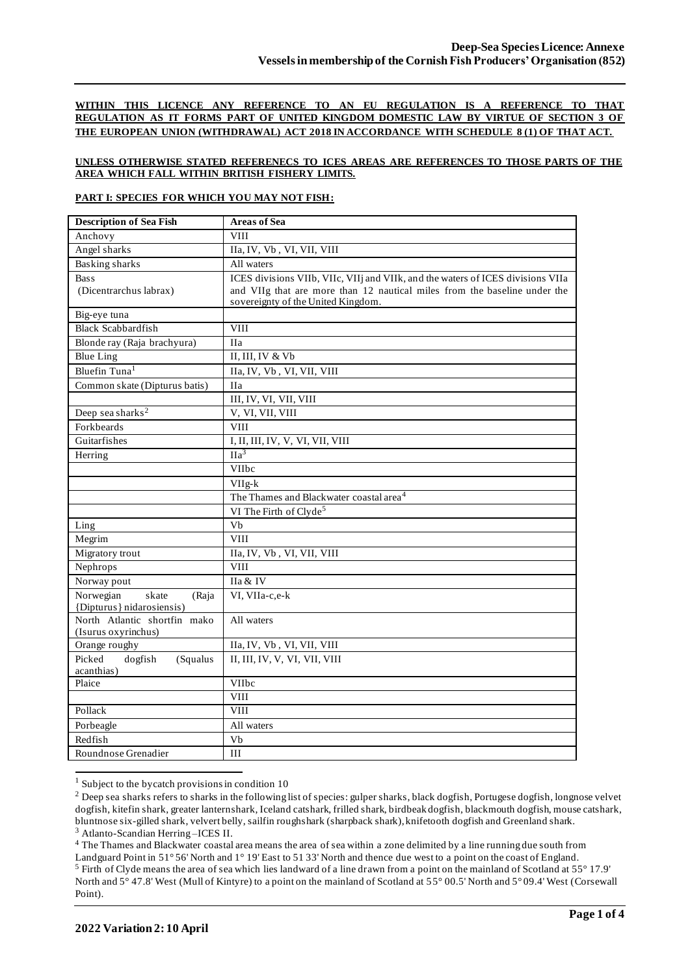#### **WITHIN THIS LICENCE ANY REFERENCE TO AN EU REGULATION IS A REFERENCE TO THAT REGULATION AS IT FORMS PART OF UNITED KINGDOM DOMESTIC LAW BY VIRTUE OF SECTION 3 OF THE EUROPEAN UNION (WITHDRAWAL) ACT 2018 IN ACCORDANCE WITH SCHEDULE 8 (1) OF THAT ACT.**

## **UNLESS OTHERWISE STATED REFERENECS TO ICES AREAS ARE REFERENCES TO THOSE PARTS OF THE AREA WHICH FALL WITHIN BRITISH FISHERY LIMITS.**

#### **PART I: SPECIES FOR WHICH YOU MAY NOT FISH:**

| Anchovy<br><b>VIII</b><br>Angel sharks<br>IIa, IV, Vb, VI, VII, VIII<br><b>Basking sharks</b><br>All waters<br>ICES divisions VIIb, VIIc, VIIj and VIIk, and the waters of ICES divisions VIIa<br><b>Bass</b><br>(Dicentrarchus labrax)<br>and VIIg that are more than 12 nautical miles from the baseline under the<br>sovereignty of the United Kingdom.<br>Big-eye tuna<br><b>VIII</b><br><b>Black Scabbardfish</b><br>Blonde ray (Raja brachyura)<br><b>IIa</b><br><b>Blue Ling</b><br>II, III, IV & Vb<br>Bluefin Tuna <sup>1</sup><br>IIa, IV, Vb, VI, VII, VIII<br>Common skate (Dipturus batis)<br><b>IIa</b><br>III, IV, VI, VII, VIII |
|-------------------------------------------------------------------------------------------------------------------------------------------------------------------------------------------------------------------------------------------------------------------------------------------------------------------------------------------------------------------------------------------------------------------------------------------------------------------------------------------------------------------------------------------------------------------------------------------------------------------------------------------------|
|                                                                                                                                                                                                                                                                                                                                                                                                                                                                                                                                                                                                                                                 |
|                                                                                                                                                                                                                                                                                                                                                                                                                                                                                                                                                                                                                                                 |
|                                                                                                                                                                                                                                                                                                                                                                                                                                                                                                                                                                                                                                                 |
|                                                                                                                                                                                                                                                                                                                                                                                                                                                                                                                                                                                                                                                 |
|                                                                                                                                                                                                                                                                                                                                                                                                                                                                                                                                                                                                                                                 |
|                                                                                                                                                                                                                                                                                                                                                                                                                                                                                                                                                                                                                                                 |
|                                                                                                                                                                                                                                                                                                                                                                                                                                                                                                                                                                                                                                                 |
|                                                                                                                                                                                                                                                                                                                                                                                                                                                                                                                                                                                                                                                 |
|                                                                                                                                                                                                                                                                                                                                                                                                                                                                                                                                                                                                                                                 |
|                                                                                                                                                                                                                                                                                                                                                                                                                                                                                                                                                                                                                                                 |
|                                                                                                                                                                                                                                                                                                                                                                                                                                                                                                                                                                                                                                                 |
|                                                                                                                                                                                                                                                                                                                                                                                                                                                                                                                                                                                                                                                 |
| Deep sea sharks <sup>2</sup><br>V, VI, VII, VIII                                                                                                                                                                                                                                                                                                                                                                                                                                                                                                                                                                                                |
| Forkbeards<br><b>VIII</b>                                                                                                                                                                                                                                                                                                                                                                                                                                                                                                                                                                                                                       |
| Guitarfishes<br>I, II, III, IV, V, VI, VII, VIII                                                                                                                                                                                                                                                                                                                                                                                                                                                                                                                                                                                                |
| $\overline{\text{IIa}^3}$<br>Herring                                                                                                                                                                                                                                                                                                                                                                                                                                                                                                                                                                                                            |
| VIIbc                                                                                                                                                                                                                                                                                                                                                                                                                                                                                                                                                                                                                                           |
| VIIg-k                                                                                                                                                                                                                                                                                                                                                                                                                                                                                                                                                                                                                                          |
| The Thames and Blackwater coastal area <sup>4</sup>                                                                                                                                                                                                                                                                                                                                                                                                                                                                                                                                                                                             |
| VI The Firth of Clyde <sup>5</sup>                                                                                                                                                                                                                                                                                                                                                                                                                                                                                                                                                                                                              |
| Vb<br>Ling                                                                                                                                                                                                                                                                                                                                                                                                                                                                                                                                                                                                                                      |
| <b>VIII</b><br>Megrim                                                                                                                                                                                                                                                                                                                                                                                                                                                                                                                                                                                                                           |
| Migratory trout<br>IIa, IV, Vb, VI, VII, VIII                                                                                                                                                                                                                                                                                                                                                                                                                                                                                                                                                                                                   |
| <b>VIII</b><br>Nephrops                                                                                                                                                                                                                                                                                                                                                                                                                                                                                                                                                                                                                         |
| Norway pout<br>IIa & IV                                                                                                                                                                                                                                                                                                                                                                                                                                                                                                                                                                                                                         |
| Norwegian<br>skate<br>VI, VIIa-c,e-k<br>(Raja                                                                                                                                                                                                                                                                                                                                                                                                                                                                                                                                                                                                   |
| {Dipturus} nidarosiensis)                                                                                                                                                                                                                                                                                                                                                                                                                                                                                                                                                                                                                       |
| North Atlantic shortfin mako<br>All waters                                                                                                                                                                                                                                                                                                                                                                                                                                                                                                                                                                                                      |
| (Isurus oxyrinchus)                                                                                                                                                                                                                                                                                                                                                                                                                                                                                                                                                                                                                             |
| IIa, IV, Vb, VI, VII, VIII<br>Orange roughy                                                                                                                                                                                                                                                                                                                                                                                                                                                                                                                                                                                                     |
| II, III, IV, V, VI, VII, VIII<br>Picked<br>dogfish<br>(Squalus<br>acanthias)                                                                                                                                                                                                                                                                                                                                                                                                                                                                                                                                                                    |
| Plaice<br><b>VIIbc</b>                                                                                                                                                                                                                                                                                                                                                                                                                                                                                                                                                                                                                          |
| <b>VIII</b>                                                                                                                                                                                                                                                                                                                                                                                                                                                                                                                                                                                                                                     |
| Pollack<br><b>VIII</b>                                                                                                                                                                                                                                                                                                                                                                                                                                                                                                                                                                                                                          |
| Porbeagle<br>All waters                                                                                                                                                                                                                                                                                                                                                                                                                                                                                                                                                                                                                         |
| Redfish<br>Vb                                                                                                                                                                                                                                                                                                                                                                                                                                                                                                                                                                                                                                   |
| Roundnose Grenadier<br>III                                                                                                                                                                                                                                                                                                                                                                                                                                                                                                                                                                                                                      |

 $1$  Subject to the bycatch provisions in condition 10

<sup>4</sup> The Thames and Blackwater coastal area means the area of sea within a zone delimited by a line running due south from

<sup>&</sup>lt;sup>2</sup> Deep sea sharks refers to sharks in the following list of species: gulper sharks, black dogfish, Portugese dogfish, longnose velvet dogfish, kitefin shark, greater lanternshark, Iceland catshark, frilled shark, birdbeak dogfish, blackmouth dogfish, mouse catshark, bluntnose six-gilled shark, velvert belly, sailfin roughshark (sharpback shark), knifetooth dogfish and Greenland shark. <sup>3</sup> Atlanto-Scandian Herring –ICES II.

Landguard Point in 51° 56' North and 1° 19' East to 51 33' North and thence due west to a point on the coast of England. <sup>5</sup> Firth of Clyde means the area of sea which lies landward of a line drawn from a point on the mainland of Scotland at 55° 17.9' North and 5° 47.8' West (Mull of Kintyre) to a point on the mainland of Scotland at 55° 00.5' North and 5° 09.4' West (Corsewall Point).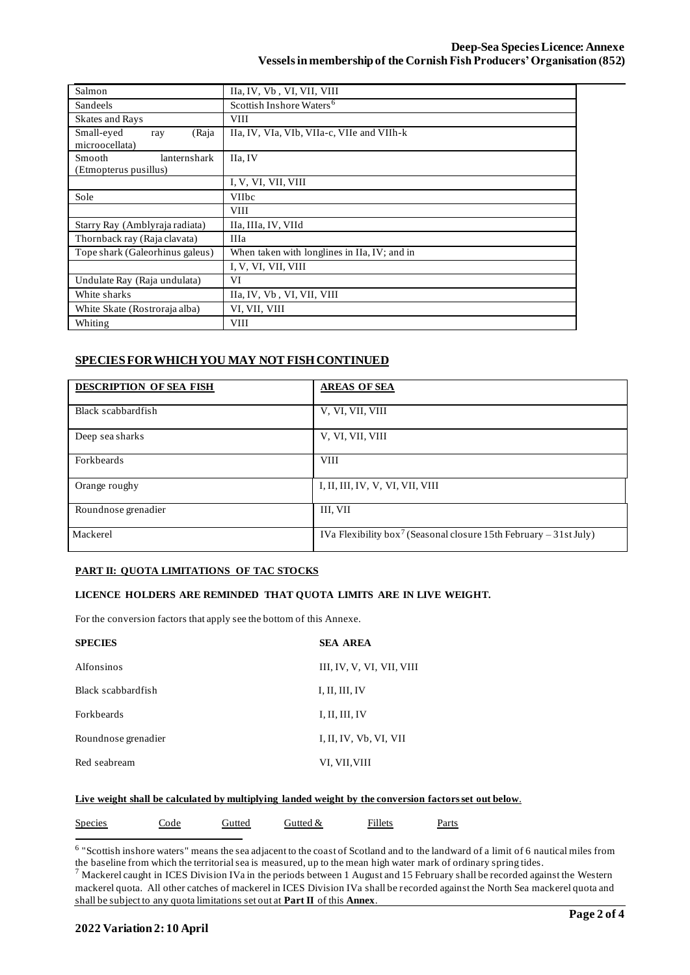| Salmon                                          | IIa, IV, Vb, VI, VII, VIII                   |
|-------------------------------------------------|----------------------------------------------|
| <b>Sandeels</b>                                 | Scottish Inshore Waters <sup>6</sup>         |
| <b>Skates and Rays</b>                          | <b>VIII</b>                                  |
| Small-eyed<br>(Raja<br>ray<br>microocellata)    | IIa, IV, VIa, VIb, VIIa-c, VIIe and VIIh-k   |
| Smooth<br>lanternshark<br>(Etmopterus pusillus) | IIa, IV                                      |
|                                                 | I, V, VI, VII, VIII                          |
| Sole                                            | <b>VIIbc</b>                                 |
|                                                 | <b>VIII</b>                                  |
| Starry Ray (Amblyraja radiata)                  | IIa, IIIa, IV, VIId                          |
| Thornback ray (Raja clavata)                    | <b>IIIa</b>                                  |
| Tope shark (Galeorhinus galeus)                 | When taken with longlines in IIa, IV; and in |
|                                                 | I, V, VI, VII, VIII                          |
| Undulate Ray (Raja undulata)                    | VI                                           |
| White sharks                                    | IIa, IV, Vb, VI, VII, VIII                   |
| White Skate (Rostroraja alba)                   | VI, VII, VIII                                |
| Whiting                                         | <b>VIII</b>                                  |

# **SPECIES FOR WHICH YOU MAY NOT FISH CONTINUED**

| <b>DESCRIPTION OF SEA FISH</b> | <b>AREAS OF SEA</b>                                                           |
|--------------------------------|-------------------------------------------------------------------------------|
| Black scabbardfish             | V, VI, VII, VIII                                                              |
| Deep sea sharks                | V, VI, VII, VIII                                                              |
| Forkbeards                     | <b>VIII</b>                                                                   |
| Orange roughy                  | I, II, III, IV, V, VI, VII, VIII                                              |
| Roundnose grenadier            | III, VII                                                                      |
| Mackerel                       | IVa Flexibility box <sup>7</sup> (Seasonal closure 15th February – 31st July) |

#### **PART II: QUOTA LIMITATIONS OF TAC STOCKS**

#### **LICENCE HOLDERS ARE REMINDED THAT QUOTA LIMITS ARE IN LIVE WEIGHT.**

For the conversion factors that apply see the bottom of this Annexe.

| <b>SPECIES</b>      | <b>SEA AREA</b>           |
|---------------------|---------------------------|
| Alfonsinos          | III, IV, V, VI, VII, VIII |
| Black scabbardfish  | I, II, III, IV            |
| <b>Forkbeards</b>   | I, II, III, IV            |
| Roundnose grenadier | I, II, IV, Vb, VI, VII    |
| Red seabream        | VI, VII, VIII             |

## **Live weight shall be calculated by multiplying landed weight by the conversion factors set out below**.

| <b>Species</b> | Code | Gutted | Gutted & | Fillets | Parts |
|----------------|------|--------|----------|---------|-------|
|                |      |        |          |         |       |

<sup>6</sup> "Scottish inshore waters" means the sea adjacent to the coast of Scotland and to the landward of a limit of 6 nautical miles from the baseline from which the territorial sea is measured, up to the mean high water mark of ordinary spring tides.

 $^7$  Mackerel caught in ICES Division IVa in the periods between 1 August and 15 February shall be recorded against the Western mackerel quota. All other catches of mackerel in ICES Division IVa shall be recorded against the North Sea mackerel quota and shall be subject to any quota limitations set out at **Part II** of this **Annex**.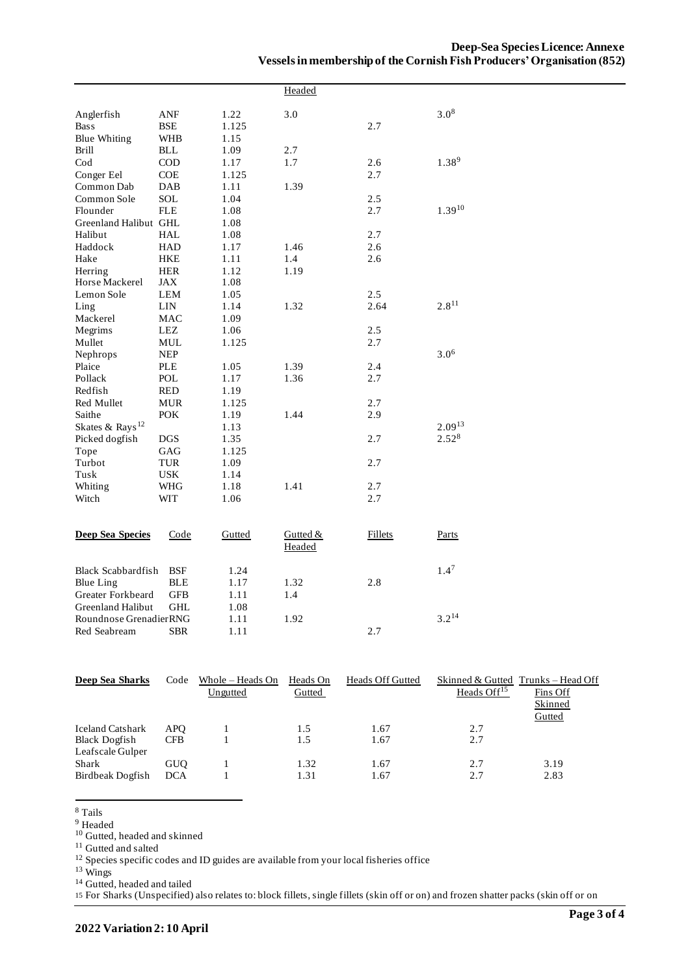|                                                            |            |        | Headed   |                |                   |
|------------------------------------------------------------|------------|--------|----------|----------------|-------------------|
| Anglerfish                                                 | ANF        | 1.22   | 3.0      |                | $3.0^{8}$         |
| <b>Bass</b>                                                | BSE        | 1.125  |          | 2.7            |                   |
| <b>Blue Whiting</b>                                        | <b>WHB</b> | 1.15   |          |                |                   |
| <b>Brill</b>                                               | BLL        | 1.09   | 2.7      |                |                   |
| $\rm Cod$                                                  | COD        | 1.17   | 1.7      | 2.6            | 1.38 <sup>9</sup> |
| Conger Eel                                                 | <b>COE</b> | 1.125  |          | 2.7            |                   |
| Common Dab                                                 | DAB        | 1.11   | 1.39     |                |                   |
| Common Sole                                                | SOL        | 1.04   |          | 2.5            |                   |
| Flounder                                                   | <b>FLE</b> | 1.08   |          | 2.7            | $1.39^{10}$       |
| Greenland Halibut GHL                                      |            | 1.08   |          |                |                   |
| Halibut                                                    | <b>HAL</b> | 1.08   |          | 2.7            |                   |
| Haddock                                                    | <b>HAD</b> | 1.17   | 1.46     | 2.6            |                   |
| Hake                                                       | HKE        | 1.11   | 1.4      | 2.6            |                   |
| Herring                                                    | <b>HER</b> | 1.12   | 1.19     |                |                   |
| Horse Mackerel                                             | JAX        | 1.08   |          |                |                   |
| Lemon Sole                                                 | <b>LEM</b> | 1.05   |          | 2.5            |                   |
| Ling                                                       | LIN        | 1.14   | 1.32     | 2.64           | $2.8^{11}$        |
| Mackerel                                                   | MAC        | 1.09   |          |                |                   |
| Megrims                                                    | LEZ        | 1.06   |          | 2.5            |                   |
| Mullet                                                     | MUL        | 1.125  |          | 2.7            |                   |
| Nephrops                                                   | <b>NEP</b> |        |          |                | $3.0^{6}$         |
| Plaice                                                     | PLE        | 1.05   | 1.39     | 2.4            |                   |
| Pollack                                                    | POL        | 1.17   | 1.36     | 2.7            |                   |
| Redfish                                                    | <b>RED</b> | 1.19   |          |                |                   |
| Red Mullet                                                 | <b>MUR</b> | 1.125  |          | 2.7            |                   |
| Saithe                                                     | <b>POK</b> | 1.19   | 1.44     | 2.9            |                   |
| Skates & Rays <sup>12</sup>                                |            | 1.13   |          |                | $2.09^{13}$       |
| Picked dogfish                                             | DGS        | 1.35   |          | 2.7            | $2.52^{8}$        |
| Tope                                                       | GAG        | 1.125  |          |                |                   |
| Turbot                                                     | TUR        | 1.09   |          | 2.7            |                   |
| Tusk                                                       | <b>USK</b> | 1.14   |          |                |                   |
| Whiting                                                    | WHG        | 1.18   | 1.41     | 2.7            |                   |
| Witch                                                      | WIT        | 1.06   |          | 2.7            |                   |
|                                                            |            |        |          |                |                   |
| <b>Deep Sea Species</b>                                    | Code       | Gutted | Gutted & | <b>Fillets</b> | Parts             |
|                                                            |            |        | Headed   |                |                   |
| <b>Black Scabbardfish</b>                                  | <b>BSF</b> | 1.24   |          |                | 1.4 <sup>7</sup>  |
|                                                            | <b>BLE</b> | 1.17   | 1.32     | 2.8            |                   |
|                                                            | <b>GFB</b> |        |          |                |                   |
|                                                            | <b>GHL</b> | 1.08   |          |                |                   |
| Roundnose GrenadierRNG                                     |            | 1.11   | 1.92     |                |                   |
| Red Seabream                                               | <b>SBR</b> | 1.11   |          | 2.7            |                   |
| <b>Blue Ling</b><br>Greater Forkbeard<br>Greenland Halibut |            | 1.11   | 1.4      |                | $3.2^{14}$        |

| Deep Sea Sharks         | Code       | Whole – Heads On | Heads On | <b>Heads Off Gutted</b> |                         | Skinned & Gutted Trunks – Head Off |
|-------------------------|------------|------------------|----------|-------------------------|-------------------------|------------------------------------|
|                         |            | Ungutted         | Gutted   |                         | Heads Off <sup>15</sup> | Fins Off                           |
|                         |            |                  |          |                         |                         | Skinned                            |
|                         |            |                  |          |                         |                         | Gutted                             |
| <b>Iceland Catshark</b> | APO.       |                  | 1.5      | 1.67                    | 2.7                     |                                    |
| <b>Black Dogfish</b>    | <b>CFB</b> |                  | 1.5      | 1.67                    | 2.7                     |                                    |
| Leafscale Gulper        |            |                  |          |                         |                         |                                    |
| <b>Shark</b>            | <b>GUO</b> |                  | 1.32     | 1.67                    | 2.7                     | 3.19                               |
| Birdbeak Dogfish        | <b>DCA</b> |                  | 1.31     | 1.67                    | 2.7                     | 2.83                               |

<sup>8</sup> Tails

<sup>9</sup> Headed

<sup>10</sup> Gutted, headed and skinned

<sup>11</sup> Gutted and salted

 $12$  Species specific codes and ID guides are available from your local fisheries office

<sup>13</sup> Wings

<sup>14</sup> Gutted, headed and tailed

15 For Sharks (Unspecified) also relates to: block fillets, single fillets (skin off or on) and frozen shatter packs (skin off or on